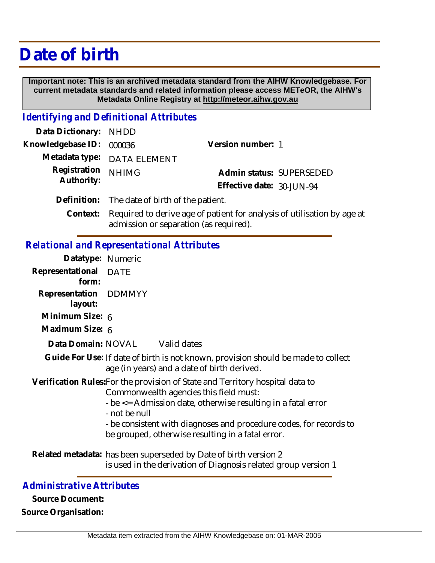## **Date of birth**

 **Important note: This is an archived metadata standard from the AIHW Knowledgebase. For current metadata standards and related information please access METeOR, the AIHW's Metadata Online Registry at http://meteor.aihw.gov.au**

## *Identifying and Definitional Attributes*

| Data Dictionary: NHDD    |                                               |                           |                          |
|--------------------------|-----------------------------------------------|---------------------------|--------------------------|
| Knowledgebase ID: 000036 |                                               | Version number: 1         |                          |
|                          | Metadata type: DATA ELEMENT                   |                           |                          |
| Registration             | <b>NHIMG</b>                                  |                           | Admin status: SUPERSEDED |
| Authority:               |                                               | Effective date: 30-JUN-94 |                          |
|                          | Definition: The date of birth of the patient. |                           |                          |
|                          |                                               |                           |                          |

Required to derive age of patient for analysis of utilisation by age at admission or separation (as required). **Context:**

## *Relational and Representational Attributes*

| Representational DATE<br>form:<br>Representation DDMMYY<br>layout:<br>Minimum Size: 6                                                                                                                                                                                                                                               |
|-------------------------------------------------------------------------------------------------------------------------------------------------------------------------------------------------------------------------------------------------------------------------------------------------------------------------------------|
|                                                                                                                                                                                                                                                                                                                                     |
|                                                                                                                                                                                                                                                                                                                                     |
|                                                                                                                                                                                                                                                                                                                                     |
| Maximum Size: 6                                                                                                                                                                                                                                                                                                                     |
| Data Domain: NOVAL Valid dates                                                                                                                                                                                                                                                                                                      |
| Guide For Use: If date of birth is not known, provision should be made to collect<br>age (in years) and a date of birth derived.                                                                                                                                                                                                    |
| Verification Rules: For the provision of State and Territory hospital data to<br>Commonwealth agencies this field must:<br>- be <= Admission date, otherwise resulting in a fatal error<br>- not be null<br>- be consistent with diagnoses and procedure codes, for records to<br>be grouped, otherwise resulting in a fatal error. |
| Related metadata: has been superseded by Date of birth version 2<br>is used in the derivation of Diagnosis related group version 1                                                                                                                                                                                                  |

## *Administrative Attributes*

**Source Document: Source Organisation:**